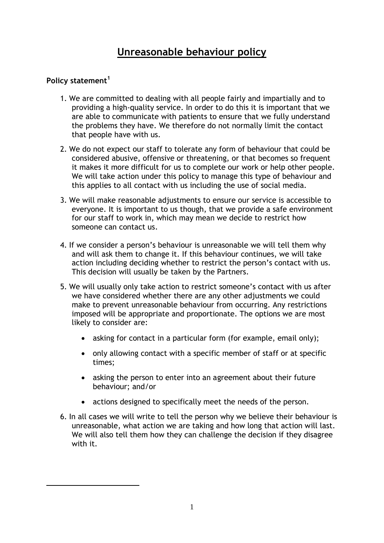# **Unreasonable behaviour policy**

# **Policy statement<sup>1</sup>**

1

- 1. We are committed to dealing with all people fairly and impartially and to providing a high-quality service. In order to do this it is important that we are able to communicate with patients to ensure that we fully understand the problems they have. We therefore do not normally limit the contact that people have with us.
- 2. We do not expect our staff to tolerate any form of behaviour that could be considered abusive, offensive or threatening, or that becomes so frequent it makes it more difficult for us to complete our work or help other people. We will take action under this policy to manage this type of behaviour and this applies to all contact with us including the use of social media.
- 3. We will make reasonable adjustments to ensure our service is accessible to everyone. It is important to us though, that we provide a safe environment for our staff to work in, which may mean we decide to restrict how someone can contact us.
- 4. If we consider a person's behaviour is unreasonable we will tell them why and will ask them to change it. If this behaviour continues, we will take action including deciding whether to restrict the person's contact with us. This decision will usually be taken by the Partners.
- 5. We will usually only take action to restrict someone's contact with us after we have considered whether there are any other adjustments we could make to prevent unreasonable behaviour from occurring. Any restrictions imposed will be appropriate and proportionate. The options we are most likely to consider are:
	- asking for contact in a particular form (for example, email only);
	- only allowing contact with a specific member of staff or at specific times;
	- asking the person to enter into an agreement about their future behaviour; and/or
	- actions designed to specifically meet the needs of the person.
- 6. In all cases we will write to tell the person why we believe their behaviour is unreasonable, what action we are taking and how long that action will last. We will also tell them how they can challenge the decision if they disagree with it.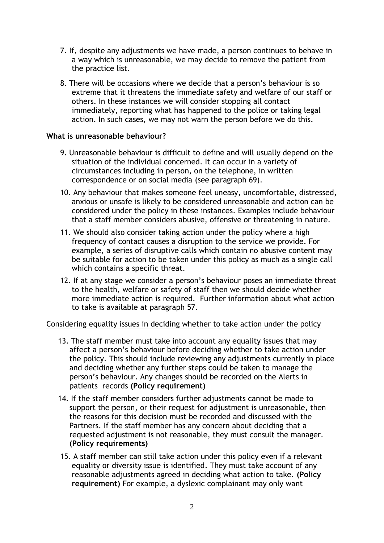- 7. If, despite any adjustments we have made, a person continues to behave in a way which is unreasonable, we may decide to remove the patient from the practice list.
- 8. There will be occasions where we decide that a person's behaviour is so extreme that it threatens the immediate safety and welfare of our staff or others. In these instances we will consider stopping all contact immediately, reporting what has happened to the police or taking legal action. In such cases, we may not warn the person before we do this.

#### **What is unreasonable behaviour?**

- 9. Unreasonable behaviour is difficult to define and will usually depend on the situation of the individual concerned. It can occur in a variety of circumstances including in person, on the telephone, in written correspondence or on social media (see paragraph 69).
- 10. Any behaviour that makes someone feel uneasy, uncomfortable, distressed, anxious or unsafe is likely to be considered unreasonable and action can be considered under the policy in these instances. Examples include behaviour that a staff member considers abusive, offensive or threatening in nature.
- 11. We should also consider taking action under the policy where a high frequency of contact causes a disruption to the service we provide. For example, a series of disruptive calls which contain no abusive content may be suitable for action to be taken under this policy as much as a single call which contains a specific threat.
- 12. If at any stage we consider a person's behaviour poses an immediate threat to the health, welfare or safety of staff then we should decide whether more immediate action is required. Further information about what action to take is available at paragraph 57.

#### Considering equality issues in deciding whether to take action under the policy

- 13. The staff member must take into account any equality issues that may affect a person's behaviour before deciding whether to take action under the policy. This should include reviewing any adjustments currently in place and deciding whether any further steps could be taken to manage the person's behaviour. Any changes should be recorded on the Alerts in patients records **(Policy requirement)**
- 14. If the staff member considers further adjustments cannot be made to support the person, or their request for adjustment is unreasonable, then the reasons for this decision must be recorded and discussed with the Partners. If the staff member has any concern about deciding that a requested adjustment is not reasonable, they must consult the manager. **(Policy requirements)**
- 15. A staff member can still take action under this policy even if a relevant equality or diversity issue is identified. They must take account of any reasonable adjustments agreed in deciding what action to take. **(Policy requirement)** For example, a dyslexic complainant may only want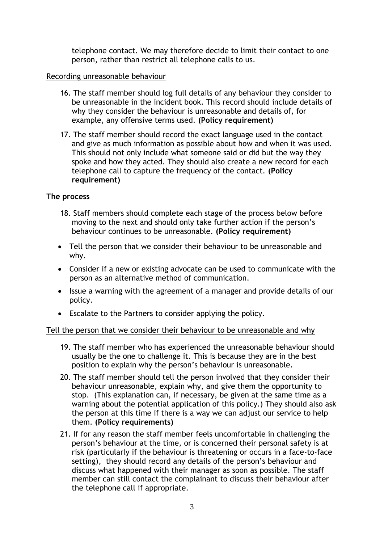telephone contact. We may therefore decide to limit their contact to one person, rather than restrict all telephone calls to us.

## Recording unreasonable behaviour

- 16. The staff member should log full details of any behaviour they consider to be unreasonable in the incident book. This record should include details of why they consider the behaviour is unreasonable and details of, for example, any offensive terms used. **(Policy requirement)**
- 17. The staff member should record the exact language used in the contact and give as much information as possible about how and when it was used. This should not only include what someone said or did but the way they spoke and how they acted. They should also create a new record for each telephone call to capture the frequency of the contact. **(Policy requirement)**

# **The process**

- 18. Staff members should complete each stage of the process below before moving to the next and should only take further action if the person's behaviour continues to be unreasonable. **(Policy requirement)**
- Tell the person that we consider their behaviour to be unreasonable and why.
- Consider if a new or existing advocate can be used to communicate with the person as an alternative method of communication.
- Issue a warning with the agreement of a manager and provide details of our policy.
- Escalate to the Partners to consider applying the policy.

#### Tell the person that we consider their behaviour to be unreasonable and why

- 19. The staff member who has experienced the unreasonable behaviour should usually be the one to challenge it. This is because they are in the best position to explain why the person's behaviour is unreasonable.
- 20. The staff member should tell the person involved that they consider their behaviour unreasonable, explain why, and give them the opportunity to stop. (This explanation can, if necessary, be given at the same time as a warning about the potential application of this policy.) They should also ask the person at this time if there is a way we can adjust our service to help them. **(Policy requirements)**
- 21. If for any reason the staff member feels uncomfortable in challenging the person's behaviour at the time, or is concerned their personal safety is at risk (particularly if the behaviour is threatening or occurs in a face-to-face setting), they should record any details of the person's behaviour and discuss what happened with their manager as soon as possible. The staff member can still contact the complainant to discuss their behaviour after the telephone call if appropriate.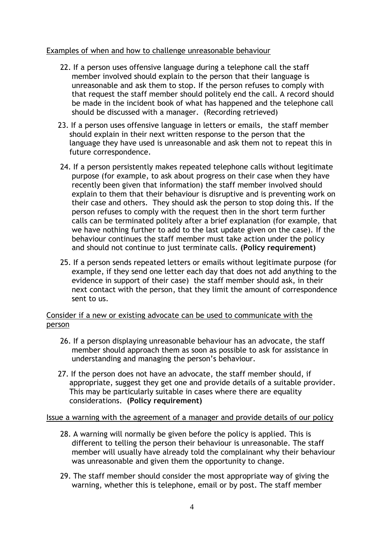# Examples of when and how to challenge unreasonable behaviour

- 22. If a person uses offensive language during a telephone call the staff member involved should explain to the person that their language is unreasonable and ask them to stop. If the person refuses to comply with that request the staff member should politely end the call. A record should be made in the incident book of what has happened and the telephone call should be discussed with a manager. (Recording retrieved)
- 23. If a person uses offensive language in letters or emails, the staff member should explain in their next written response to the person that the language they have used is unreasonable and ask them not to repeat this in future correspondence.
- 24. If a person persistently makes repeated telephone calls without legitimate purpose (for example, to ask about progress on their case when they have recently been given that information) the staff member involved should explain to them that their behaviour is disruptive and is preventing work on their case and others. They should ask the person to stop doing this. If the person refuses to comply with the request then in the short term further calls can be terminated politely after a brief explanation (for example, that we have nothing further to add to the last update given on the case). If the behaviour continues the staff member must take action under the policy and should not continue to just terminate calls. **(Policy requirement)**
- 25. If a person sends repeated letters or emails without legitimate purpose (for example, if they send one letter each day that does not add anything to the evidence in support of their case) the staff member should ask, in their next contact with the person, that they limit the amount of correspondence sent to us.

# Consider if a new or existing advocate can be used to communicate with the person

- 26. If a person displaying unreasonable behaviour has an advocate, the staff member should approach them as soon as possible to ask for assistance in understanding and managing the person's behaviour.
- 27. If the person does not have an advocate, the staff member should, if appropriate, suggest they get one and provide details of a suitable provider. This may be particularly suitable in cases where there are equality considerations. **(Policy requirement)**

#### Issue a warning with the agreement of a manager and provide details of our policy

- 28. A warning will normally be given before the policy is applied. This is different to telling the person their behaviour is unreasonable. The staff member will usually have already told the complainant why their behaviour was unreasonable and given them the opportunity to change.
- 29. The staff member should consider the most appropriate way of giving the warning, whether this is telephone, email or by post. The staff member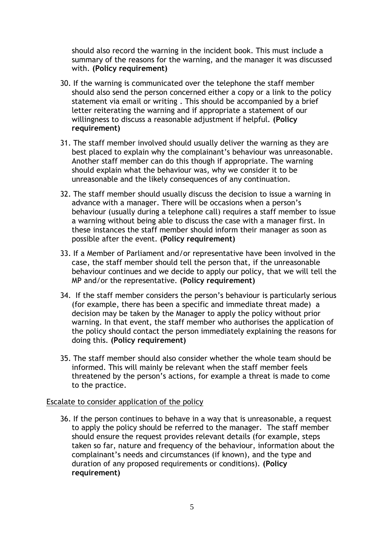should also record the warning in the incident book. This must include a summary of the reasons for the warning, and the manager it was discussed with. **(Policy requirement)**

- 30. If the warning is communicated over the telephone the staff member should also send the person concerned either a copy or a link to the policy statement via email or writing . This should be accompanied by a brief letter reiterating the warning and if appropriate a statement of our willingness to discuss a reasonable adjustment if helpful. **(Policy requirement)**
- 31. The staff member involved should usually deliver the warning as they are best placed to explain why the complainant's behaviour was unreasonable. Another staff member can do this though if appropriate. The warning should explain what the behaviour was, why we consider it to be unreasonable and the likely consequences of any continuation.
- 32. The staff member should usually discuss the decision to issue a warning in advance with a manager. There will be occasions when a person's behaviour (usually during a telephone call) requires a staff member to issue a warning without being able to discuss the case with a manager first. In these instances the staff member should inform their manager as soon as possible after the event. **(Policy requirement)**
- 33. If a Member of Parliament and/or representative have been involved in the case, the staff member should tell the person that, if the unreasonable behaviour continues and we decide to apply our policy, that we will tell the MP and/or the representative. **(Policy requirement)**
- 34. If the staff member considers the person's behaviour is particularly serious (for example, there has been a specific and immediate threat made) a decision may be taken by the Manager to apply the policy without prior warning. In that event, the staff member who authorises the application of the policy should contact the person immediately explaining the reasons for doing this. **(Policy requirement)**
- 35. The staff member should also consider whether the whole team should be informed. This will mainly be relevant when the staff member feels threatened by the person's actions, for example a threat is made to come to the practice.

#### Escalate to consider application of the policy

36. If the person continues to behave in a way that is unreasonable, a request to apply the policy should be referred to the manager. The staff member should ensure the request provides relevant details (for example, steps taken so far, nature and frequency of the behaviour, information about the complainant's needs and circumstances (if known), and the type and duration of any proposed requirements or conditions). **(Policy requirement)**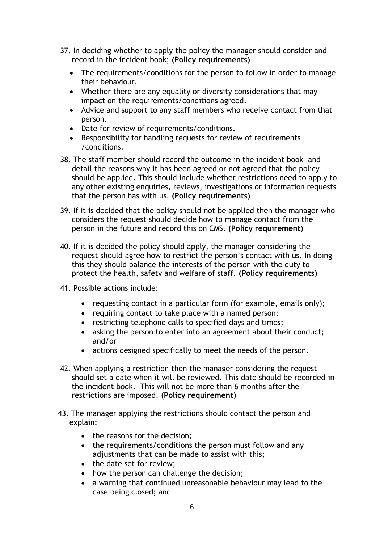- 37. In deciding whether to apply the policy the manager should consider and record in the incident book; **(Policy requirements)**
	- The requirements/conditions for the person to follow in order to manage their behaviour.
	- Whether there are any equality or diversity considerations that may impact on the requirements/conditions agreed.
	- Advice and support to any staff members who receive contact from that person.
	- Date for review of requirements/conditions.
	- Responsibility for handling requests for review of requirements /conditions.
- 38. The staff member should record the outcome in the incident book and detail the reasons why it has been agreed or not agreed that the policy should be applied. This should include whether restrictions need to apply to any other existing enquiries, reviews, investigations or information requests that the person has with us. **(Policy requirements)**
- 39. If it is decided that the policy should not be applied then the manager who considers the request should decide how to manage contact from the person in the future and record this on CMS. **(Policy requirement)**
- 40. If it is decided the policy should apply, the manager considering the request should agree how to restrict the person's contact with us. In doing this they should balance the interests of the person with the duty to protect the health, safety and welfare of staff. **(Policy requirements)**
- 41. Possible actions include:
	- requesting contact in a particular form (for example, emails only);
	- requiring contact to take place with a named person;
	- restricting telephone calls to specified days and times;
	- asking the person to enter into an agreement about their conduct; and/or
	- actions designed specifically to meet the needs of the person.
- 42. When applying a restriction then the manager considering the request should set a date when it will be reviewed. This date should be recorded in the incident book. This will not be more than 6 months after the restrictions are imposed. **(Policy requirement)**
- 43. The manager applying the restrictions should contact the person and explain:
	- the reasons for the decision:
	- the requirements/conditions the person must follow and any adjustments that can be made to assist with this;
	- the date set for review:
	- how the person can challenge the decision;
	- a warning that continued unreasonable behaviour may lead to the case being closed; and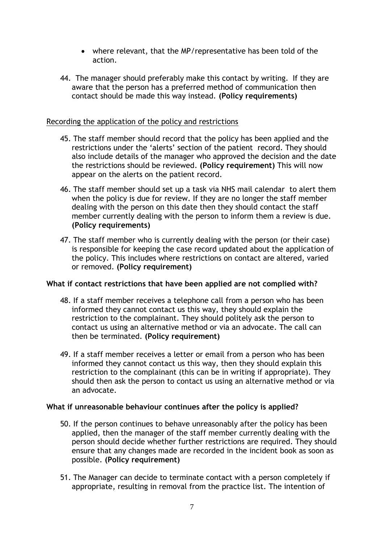- where relevant, that the MP/representative has been told of the action.
- 44. The manager should preferably make this contact by writing. If they are aware that the person has a preferred method of communication then contact should be made this way instead. **(Policy requirements)**

## Recording the application of the policy and restrictions

- 45. The staff member should record that the policy has been applied and the restrictions under the 'alerts' section of the patient record. They should also include details of the manager who approved the decision and the date the restrictions should be reviewed. **(Policy requirement)** This will now appear on the alerts on the patient record.
- 46. The staff member should set up a task via NHS mail calendar to alert them when the policy is due for review. If they are no longer the staff member dealing with the person on this date then they should contact the staff member currently dealing with the person to inform them a review is due. **(Policy requirements)**
- 47. The staff member who is currently dealing with the person (or their case) is responsible for keeping the case record updated about the application of the policy. This includes where restrictions on contact are altered, varied or removed. **(Policy requirement)**

#### **What if contact restrictions that have been applied are not complied with?**

- 48. If a staff member receives a telephone call from a person who has been informed they cannot contact us this way, they should explain the restriction to the complainant. They should politely ask the person to contact us using an alternative method or via an advocate. The call can then be terminated. **(Policy requirement)**
- 49. If a staff member receives a letter or email from a person who has been informed they cannot contact us this way, then they should explain this restriction to the complainant (this can be in writing if appropriate). They should then ask the person to contact us using an alternative method or via an advocate.

#### **What if unreasonable behaviour continues after the policy is applied?**

- 50. If the person continues to behave unreasonably after the policy has been applied, then the manager of the staff member currently dealing with the person should decide whether further restrictions are required. They should ensure that any changes made are recorded in the incident book as soon as possible. **(Policy requirement)**
- 51. The Manager can decide to terminate contact with a person completely if appropriate, resulting in removal from the practice list. The intention of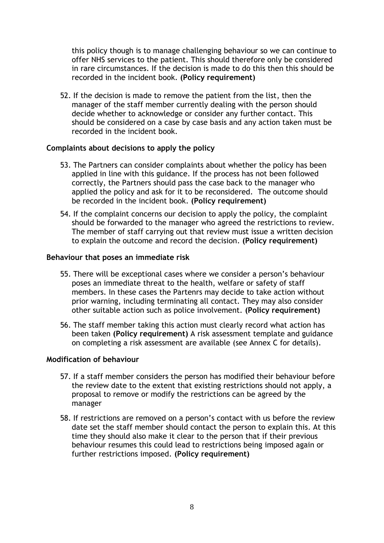this policy though is to manage challenging behaviour so we can continue to offer NHS services to the patient. This should therefore only be considered in rare circumstances. If the decision is made to do this then this should be recorded in the incident book. **(Policy requirement)**

52. If the decision is made to remove the patient from the list, then the manager of the staff member currently dealing with the person should decide whether to acknowledge or consider any further contact. This should be considered on a case by case basis and any action taken must be recorded in the incident book.

#### **Complaints about decisions to apply the policy**

- 53. The Partners can consider complaints about whether the policy has been applied in line with this guidance. If the process has not been followed correctly, the Partners should pass the case back to the manager who applied the policy and ask for it to be reconsidered. The outcome should be recorded in the incident book. **(Policy requirement)**
- 54. If the complaint concerns our decision to apply the policy, the complaint should be forwarded to the manager who agreed the restrictions to review. The member of staff carrying out that review must issue a written decision to explain the outcome and record the decision. **(Policy requirement)**

#### **Behaviour that poses an immediate risk**

- 55. There will be exceptional cases where we consider a person's behaviour poses an immediate threat to the health, welfare or safety of staff members. In these cases the Partenrs may decide to take action without prior warning, including terminating all contact. They may also consider other suitable action such as police involvement. **(Policy requirement)**
- 56. The staff member taking this action must clearly record what action has been taken **(Policy requirement)** A risk assessment template and guidance on completing a risk assessment are available (see Annex C for details).

#### **Modification of behaviour**

- 57. If a staff member considers the person has modified their behaviour before the review date to the extent that existing restrictions should not apply, a proposal to remove or modify the restrictions can be agreed by the manager
- 58. If restrictions are removed on a person's contact with us before the review date set the staff member should contact the person to explain this. At this time they should also make it clear to the person that if their previous behaviour resumes this could lead to restrictions being imposed again or further restrictions imposed. **(Policy requirement)**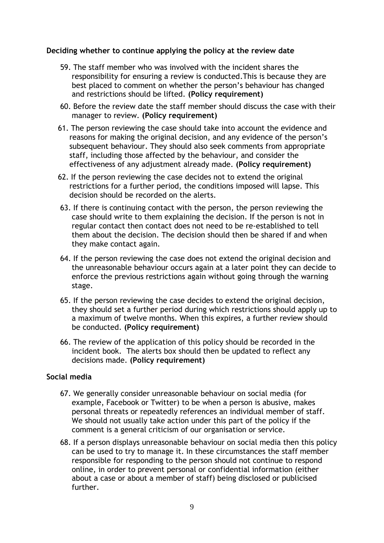#### **Deciding whether to continue applying the policy at the review date**

- 59. The staff member who was involved with the incident shares the responsibility for ensuring a review is conducted.This is because they are best placed to comment on whether the person's behaviour has changed and restrictions should be lifted. **(Policy requirement)**
- 60. Before the review date the staff member should discuss the case with their manager to review. **(Policy requirement)**
- 61. The person reviewing the case should take into account the evidence and reasons for making the original decision, and any evidence of the person's subsequent behaviour. They should also seek comments from appropriate staff, including those affected by the behaviour, and consider the effectiveness of any adjustment already made. **(Policy requirement)**
- 62. If the person reviewing the case decides not to extend the original restrictions for a further period, the conditions imposed will lapse. This decision should be recorded on the alerts.
- 63. If there is continuing contact with the person, the person reviewing the case should write to them explaining the decision. If the person is not in regular contact then contact does not need to be re-established to tell them about the decision. The decision should then be shared if and when they make contact again.
- 64. If the person reviewing the case does not extend the original decision and the unreasonable behaviour occurs again at a later point they can decide to enforce the previous restrictions again without going through the warning stage.
- 65. If the person reviewing the case decides to extend the original decision, they should set a further period during which restrictions should apply up to a maximum of twelve months. When this expires, a further review should be conducted. **(Policy requirement)**
- 66. The review of the application of this policy should be recorded in the incident book. The alerts box should then be updated to reflect any decisions made. **(Policy requirement)**

#### **Social media**

- 67. We generally consider unreasonable behaviour on social media (for example, Facebook or Twitter) to be when a person is abusive, makes personal threats or repeatedly references an individual member of staff. We should not usually take action under this part of the policy if the comment is a general criticism of our organisation or service.
- 68. If a person displays unreasonable behaviour on social media then this policy can be used to try to manage it. In these circumstances the staff member responsible for responding to the person should not continue to respond online, in order to prevent personal or confidential information (either about a case or about a member of staff) being disclosed or publicised further.